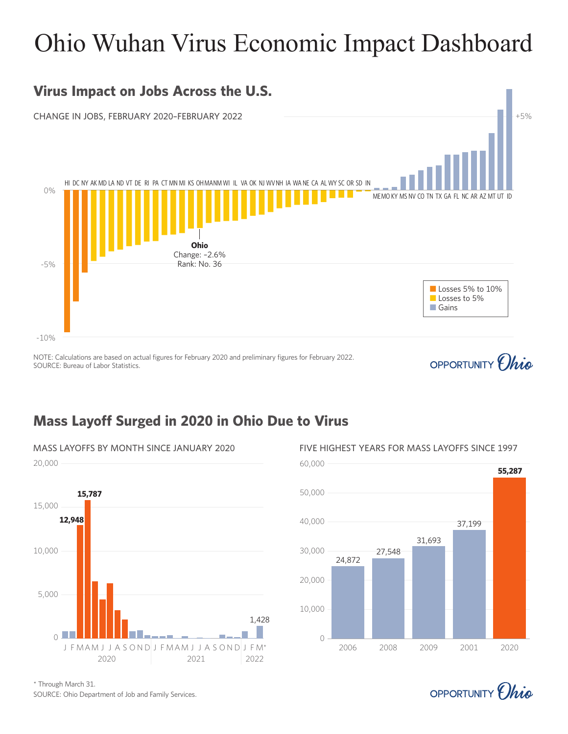# Ohio Wuhan Virus Economic Impact Dashboard

## **Virus Impact on Jobs Across the U.S.**

CHANGE IN JOBS, FEBRUARY 2020–FEBRUARY 2022 And the control of the state of the state of the state of the state of the state of the state of the state of the state of the state of the state of the state of the state of the



NOTE: Calculations are based on actual figures for February 2020 and preliminary figures for February 2022. SOURCE: Bureau of Labor Statistics.

## OPPORTUNITY *Chio*

## **Mass Layoff Surged in 2020 in Ohio Due to Virus**







OPPORTUNITY *(hig*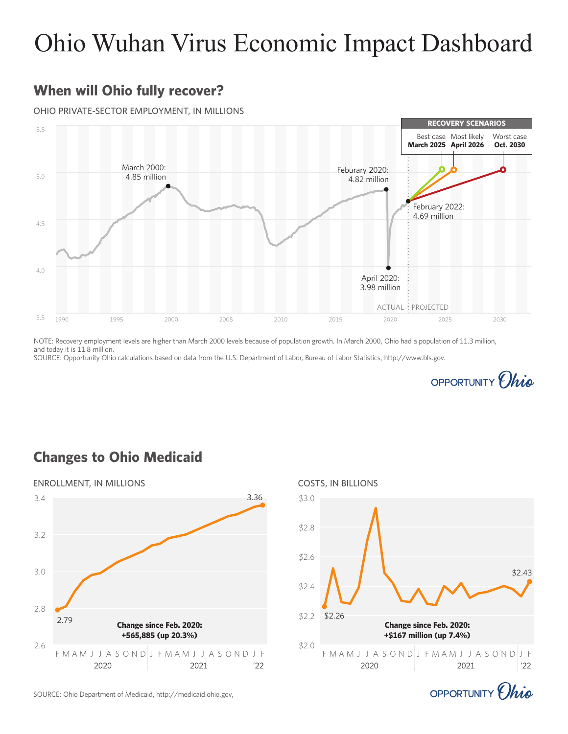## Ohio Wuhan Virus Economic Impact Dashboard

## **When will Ohio fully recover?**

#### OHIO PRIVATE-SECTOR EMPLOYMENT, IN MILLIONS



NOTE: Recovery employment levels are higher than March 2000 levels because of population growth. In March 2000, Ohio had a population of 11.3 million, and today it is 11.8 million.

SOURCE: Opportunity Ohio calculations based on data from the U.S. Department of Labor, Bureau of Labor Statistics, http://www.bls.gov.



#### **Changes to Ohio Medicaid**





OPPORTUNITY *(hig* 

SOURCE: Ohio Department of Medicaid, http://medicaid.ohio.gov,